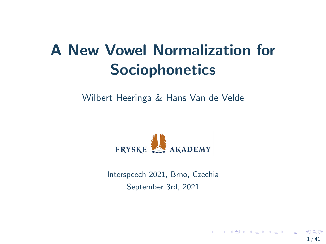# A New Vowel Normalization for **Sociophonetics**

Wilbert Heeringa & Hans Van de Velde



Interspeech 2021, Brno, Czechia September 3rd, 2021

1 / 41

 $\Omega$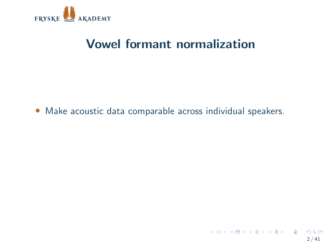

# Vowel formant normalization

• Make acoustic data comparable across individual speakers.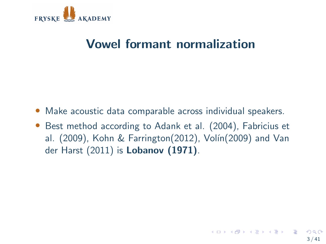

# Vowel formant normalization

- Make acoustic data comparable across individual speakers.
- Best method according to Adank et al. (2004), Fabricius et al. (2009), Kohn & Farrington(2012), Volín(2009) and Van der Harst (2011) is Lobanov (1971).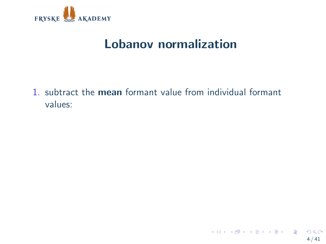

1. subtract the mean formant value from individual formant values: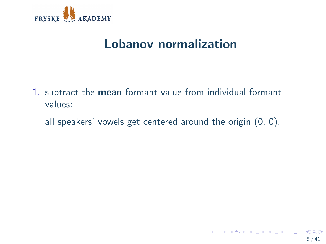

- 1. subtract the mean formant value from individual formant values:
	- all speakers' vowels get centered around the origin (0, 0).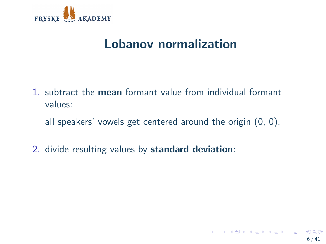

- 1. subtract the mean formant value from individual formant values:
	- all speakers' vowels get centered around the origin (0, 0).
- 2. divide resulting values by standard deviation: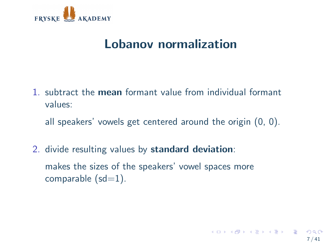

1. subtract the mean formant value from individual formant values:

all speakers' vowels get centered around the origin (0, 0).

2. divide resulting values by standard deviation: makes the sizes of the speakers' vowel spaces more comparable  $(sd=1)$ .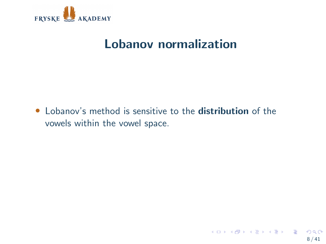

• Lobanov's method is sensitive to the **distribution** of the vowels within the vowel space.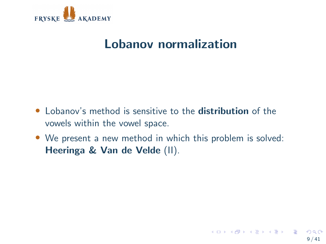

- Lobanov's method is sensitive to the **distribution** of the vowels within the vowel space.
- We present a new method in which this problem is solved: Heeringa & Van de Velde (II).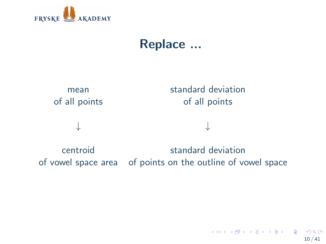

# Replace ...



of vowel space area of points on the outline of vowel space

K ロンス 御 ンズ ヨンズ ヨンバ ヨ  $\Omega$ 10 / 41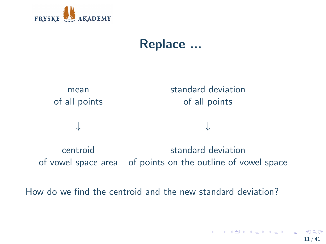

# Replace ...



of vowel space area of points on the outline of vowel space

How do we find the centroid and the new standard deviation?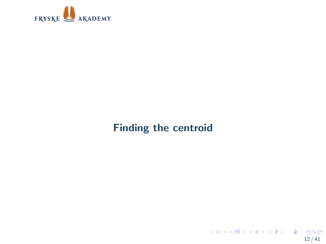

### Finding the centroid

K ロ X x 個 X X ミ X X ミ X ミ → つ Q Q →  $12 / 41$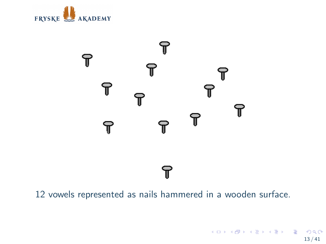



12 vowels represented as nails hammered in a wooden surface.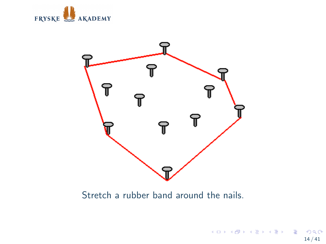



Stretch a rubber band around the nails.

14 / 41

K ロ X x 何 X x モ X x モ X → 三 电 → の Q Q →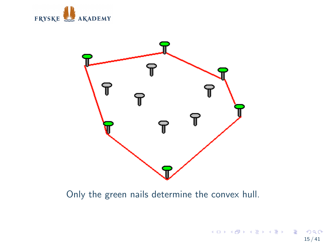



Only the green nails determine the convex hull.

メロメ メタメ メミメ メミメー ミ  $2990$ 15 / 41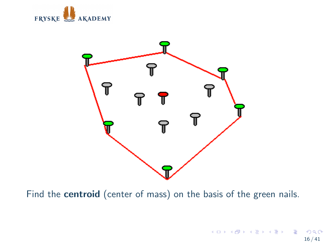



Find the centroid (center of mass) on the basis of the green nails.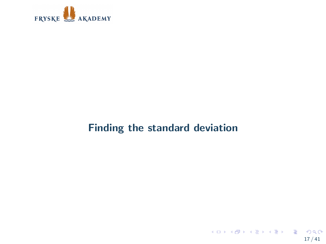

### Finding the standard deviation

K ロ X x 何 X x モ X x モ X → 三 电 → の Q Q → 17 / 41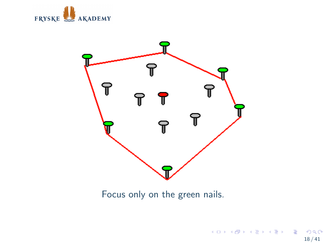



Focus only on the green nails.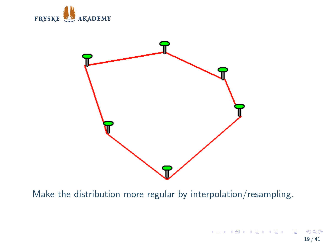



Make the distribution more regular by interpolation/resampling.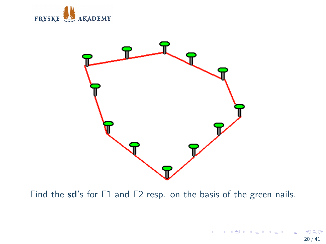



Find the sd's for F1 and F2 resp. on the basis of the green nails.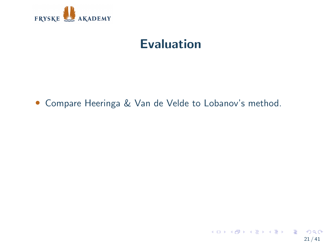

• Compare Heeringa & Van de Velde to Lobanov's method.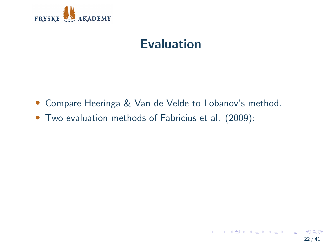

- Compare Heeringa & Van de Velde to Lobanov's method.
- Two evaluation methods of Fabricius et al. (2009):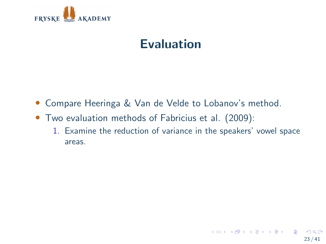

- Compare Heeringa & Van de Velde to Lobanov's method.
- Two evaluation methods of Fabricius et al. (2009):
	- 1. Examine the reduction of variance in the speakers' vowel space areas.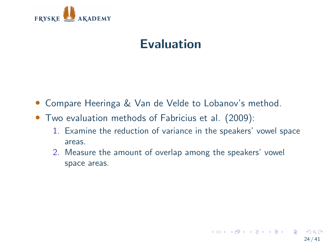

- Compare Heeringa & Van de Velde to Lobanov's method.
- Two evaluation methods of Fabricius et al. (2009):
	- 1. Examine the reduction of variance in the speakers' vowel space areas.
	- 2. Measure the amount of overlap among the speakers' vowel space areas.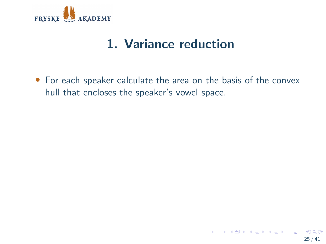

# 1. Variance reduction

• For each speaker calculate the area on the basis of the convex hull that encloses the speaker's vowel space.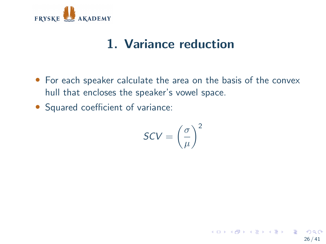

# 1. Variance reduction

- For each speaker calculate the area on the basis of the convex hull that encloses the speaker's vowel space.
- Squared coefficient of variance:

$$
\text{SCV} = \left(\frac{\sigma}{\mu}\right)^2
$$

26 / 41

メロトメ 御 トメ 差 トメ 差 トー 差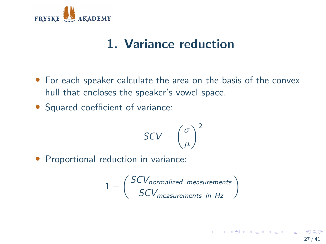

# 1. Variance reduction

- For each speaker calculate the area on the basis of the convex hull that encloses the speaker's vowel space.
- Squared coefficient of variance:

$$
\text{SCV} = \left(\frac{\sigma}{\mu}\right)^2
$$

• Proportional reduction in variance:

$$
1 - \left(\frac{SCV_{normalized\ measurements}}{SCV_{measurements\ in\ Hz}}\right)
$$

メロトメ 御 トメ 差 トメ 差 トー 差 27 / 41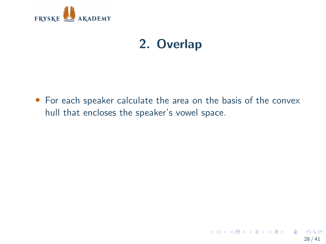

# 2. Overlap

• For each speaker calculate the area on the basis of the convex hull that encloses the speaker's vowel space.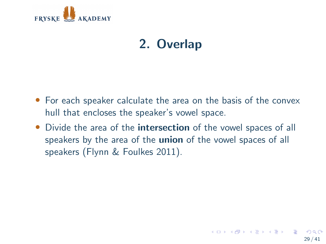

# 2. Overlap

- For each speaker calculate the area on the basis of the convex hull that encloses the speaker's vowel space.
- Divide the area of the **intersection** of the vowel spaces of all speakers by the area of the **union** of the vowel spaces of all speakers (Flynn & Foulkes 2011).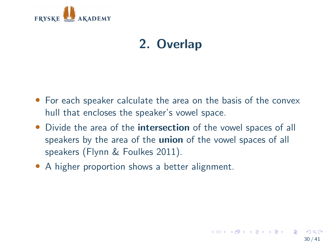

# 2. Overlap

- For each speaker calculate the area on the basis of the convex hull that encloses the speaker's vowel space.
- Divide the area of the **intersection** of the vowel spaces of all speakers by the area of the **union** of the vowel spaces of all speakers (Flynn & Foulkes 2011).
- A higher proportion shows a better alignment.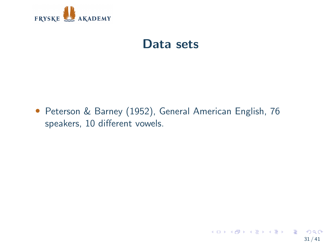

# Data sets

• Peterson & Barney (1952), General American English, 76 speakers, 10 different vowels.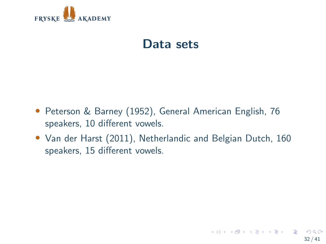

# Data sets

- Peterson & Barney (1952), General American English, 76 speakers, 10 different vowels.
- Van der Harst (2011), Netherlandic and Belgian Dutch, 160 speakers, 15 different vowels.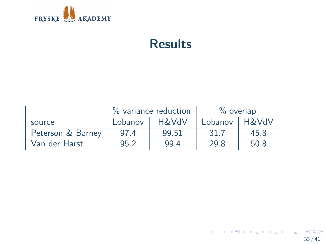

# Results

|                   | % variance reduction |       | $\%$ overlap |                  |
|-------------------|----------------------|-------|--------------|------------------|
| source            | Lobanov              | H&VdV | Lobanov      | <b>H&amp;VdV</b> |
| Peterson & Barney | 97.4                 | 99.51 | 31.7         | 45.8             |
| Van der Harst     | 95.2                 | 99.4  | 29.8         | 50.8             |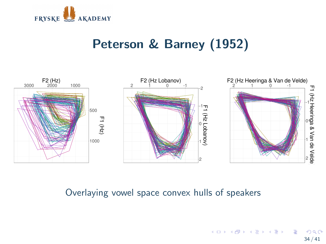

# Peterson & Barney (1952)



#### Overlaying vowel space convex hulls of speakers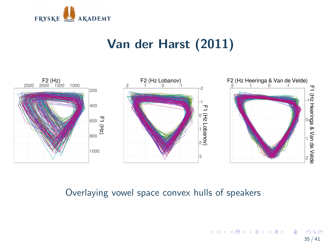![](_page_34_Picture_0.jpeg)

# Van der Harst (2011)

![](_page_34_Figure_2.jpeg)

#### Overlaying vowel space convex hulls of speakers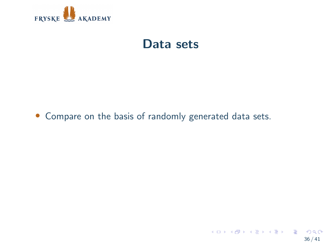![](_page_35_Picture_0.jpeg)

# Data sets

#### • Compare on the basis of randomly generated data sets.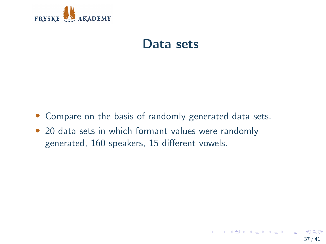![](_page_36_Picture_0.jpeg)

# Data sets

- Compare on the basis of randomly generated data sets.
- 20 data sets in which formant values were randomly generated, 160 speakers, 15 different vowels.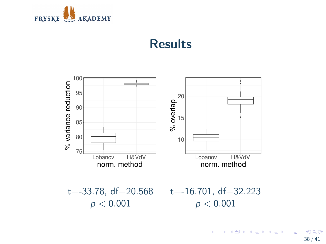![](_page_37_Picture_0.jpeg)

### **Results**

![](_page_37_Figure_2.jpeg)

メロメ メ御 メメ ミメメ ヨメ G.  $299$ 38 / 41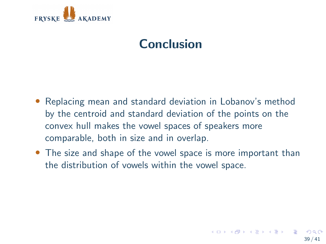![](_page_38_Picture_0.jpeg)

# Conclusion

- Replacing mean and standard deviation in Lobanov's method by the centroid and standard deviation of the points on the convex hull makes the vowel spaces of speakers more comparable, both in size and in overlap.
- The size and shape of the vowel space is more important than the distribution of vowels within the vowel space.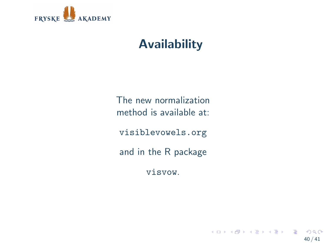![](_page_39_Picture_0.jpeg)

# Availability

The new normalization method is available at:

<visiblevowels.org>

and in the R package

visvow.

40 / 41

 $\Omega$ 

メロトメ 御 トメ 差 トメ 差 トー 差